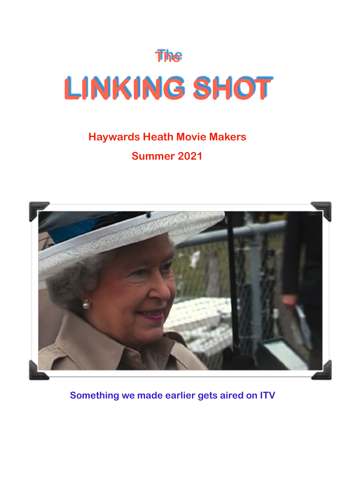

# **Haywards Heath Movie Makers Summer 2021**



 **Something we made earlier gets aired on ITV**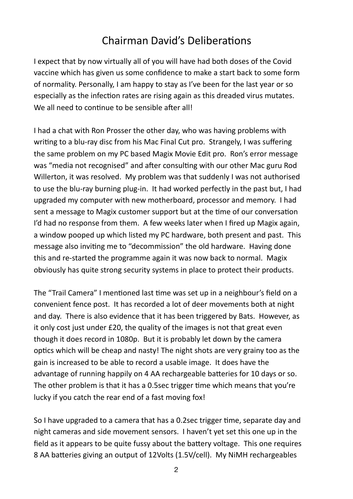## Chairman David's Deliberations

I expect that by now virtually all of you will have had both doses of the Covid vaccine which has given us some confidence to make a start back to some form of normality. Personally, I am happy to stay as I've been for the last year or so especially as the infection rates are rising again as this dreaded virus mutates. We all need to continue to be sensible after all!

I had a chat with Ron Prosser the other day, who was having problems with writing to a blu-ray disc from his Mac Final Cut pro. Strangely, I was suffering the same problem on my PC based Magix Movie Edit pro. Ron's error message was "media not recognised" and after consulting with our other Mac guru Rod Willerton, it was resolved. My problem was that suddenly I was not authorised to use the blu-ray burning plug-in. It had worked perfectly in the past but, I had upgraded my computer with new motherboard, processor and memory. I had sent a message to Magix customer support but at the time of our conversation I'd had no response from them. A few weeks later when I fired up Magix again, a window pooped up which listed my PC hardware, both present and past. This message also inviting me to "decommission" the old hardware. Having done this and re-started the programme again it was now back to normal. Magix obviously has quite strong security systems in place to protect their products.

The "Trail Camera" I mentioned last time was set up in a neighbour's field on a convenient fence post. It has recorded a lot of deer movements both at night and day. There is also evidence that it has been triggered by Bats. However, as it only cost just under £20, the quality of the images is not that great even though it does record in 1080p. But it is probably let down by the camera optics which will be cheap and nasty! The night shots are very grainy too as the gain is increased to be able to record a usable image. It does have the advantage of running happily on 4 AA rechargeable batteries for 10 days or so. The other problem is that it has a 0.5sec trigger time which means that you're lucky if you catch the rear end of a fast moving fox!

So I have upgraded to a camera that has a 0.2sec trigger time, separate day and night cameras and side movement sensors. I haven't yet set this one up in the field as it appears to be quite fussy about the battery voltage. This one requires 8 AA batteries giving an output of 12Volts (1.5V/cell). My NiMH rechargeables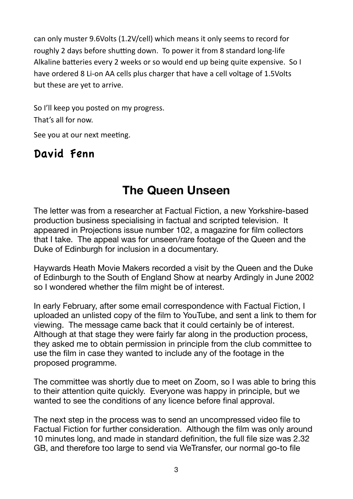can only muster 9.6Volts (1.2V/cell) which means it only seems to record for roughly 2 days before shutting down. To power it from 8 standard long-life Alkaline batteries every 2 weeks or so would end up being quite expensive. So I have ordered 8 Li-on AA cells plus charger that have a cell voltage of 1.5Volts but these are yet to arrive.

So I'll keep you posted on my progress. That's all for now.

See you at our next meeting.

## David Fenn

## **The Queen Unseen**

The letter was from a researcher at Factual Fiction, a new Yorkshire-based production business specialising in factual and scripted television. It appeared in Projections issue number 102, a magazine for film collectors that I take. The appeal was for unseen/rare footage of the Queen and the Duke of Edinburgh for inclusion in a documentary.

Haywards Heath Movie Makers recorded a visit by the Queen and the Duke of Edinburgh to the South of England Show at nearby Ardingly in June 2002 so I wondered whether the film might be of interest.

In early February, after some email correspondence with Factual Fiction, I uploaded an unlisted copy of the film to YouTube, and sent a link to them for viewing. The message came back that it could certainly be of interest. Although at that stage they were fairly far along in the production process, they asked me to obtain permission in principle from the club committee to use the film in case they wanted to include any of the footage in the proposed programme.

The committee was shortly due to meet on Zoom, so I was able to bring this to their attention quite quickly. Everyone was happy in principle, but we wanted to see the conditions of any licence before final approval.

The next step in the process was to send an uncompressed video file to Factual Fiction for further consideration. Although the film was only around 10 minutes long, and made in standard definition, the full file size was 2.32 GB, and therefore too large to send via WeTransfer, our normal go-to file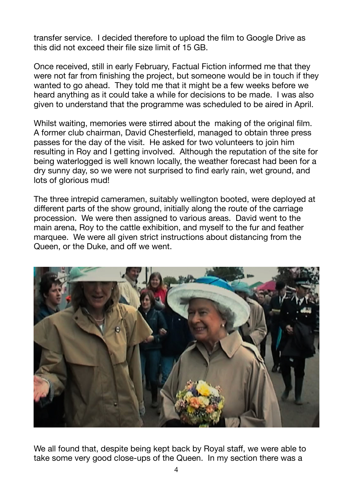transfer service. I decided therefore to upload the film to Google Drive as this did not exceed their file size limit of 15 GB.

Once received, still in early February, Factual Fiction informed me that they were not far from finishing the project, but someone would be in touch if they wanted to go ahead. They told me that it might be a few weeks before we heard anything as it could take a while for decisions to be made. I was also given to understand that the programme was scheduled to be aired in April.

Whilst waiting, memories were stirred about the making of the original film. A former club chairman, David Chesterfield, managed to obtain three press passes for the day of the visit. He asked for two volunteers to join him resulting in Roy and I getting involved. Although the reputation of the site for being waterlogged is well known locally, the weather forecast had been for a dry sunny day, so we were not surprised to find early rain, wet ground, and lots of glorious mud!

The three intrepid cameramen, suitably wellington booted, were deployed at different parts of the show ground, initially along the route of the carriage procession. We were then assigned to various areas. David went to the main arena, Roy to the cattle exhibition, and myself to the fur and feather marquee. We were all given strict instructions about distancing from the Queen, or the Duke, and off we went.



We all found that, despite being kept back by Royal staff, we were able to take some very good close-ups of the Queen. In my section there was a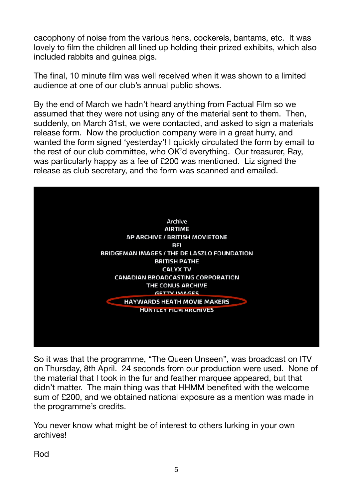cacophony of noise from the various hens, cockerels, bantams, etc. It was lovely to film the children all lined up holding their prized exhibits, which also included rabbits and guinea pigs.

The final, 10 minute film was well received when it was shown to a limited audience at one of our club's annual public shows.

By the end of March we hadn't heard anything from Factual Film so we assumed that they were not using any of the material sent to them. Then, suddenly, on March 31st, we were contacted, and asked to sign a materials release form. Now the production company were in a great hurry, and wanted the form signed 'yesterday'! I quickly circulated the form by email to the rest of our club committee, who OK'd everything. Our treasurer, Ray, was particularly happy as a fee of £200 was mentioned. Liz signed the release as club secretary, and the form was scanned and emailed.



So it was that the programme, "The Queen Unseen", was broadcast on ITV on Thursday, 8th April. 24 seconds from our production were used. None of the material that I took in the fur and feather marquee appeared, but that didn't matter. The main thing was that HHMM benefited with the welcome sum of £200, and we obtained national exposure as a mention was made in the programme's credits.

You never know what might be of interest to others lurking in your own archives!

Rod